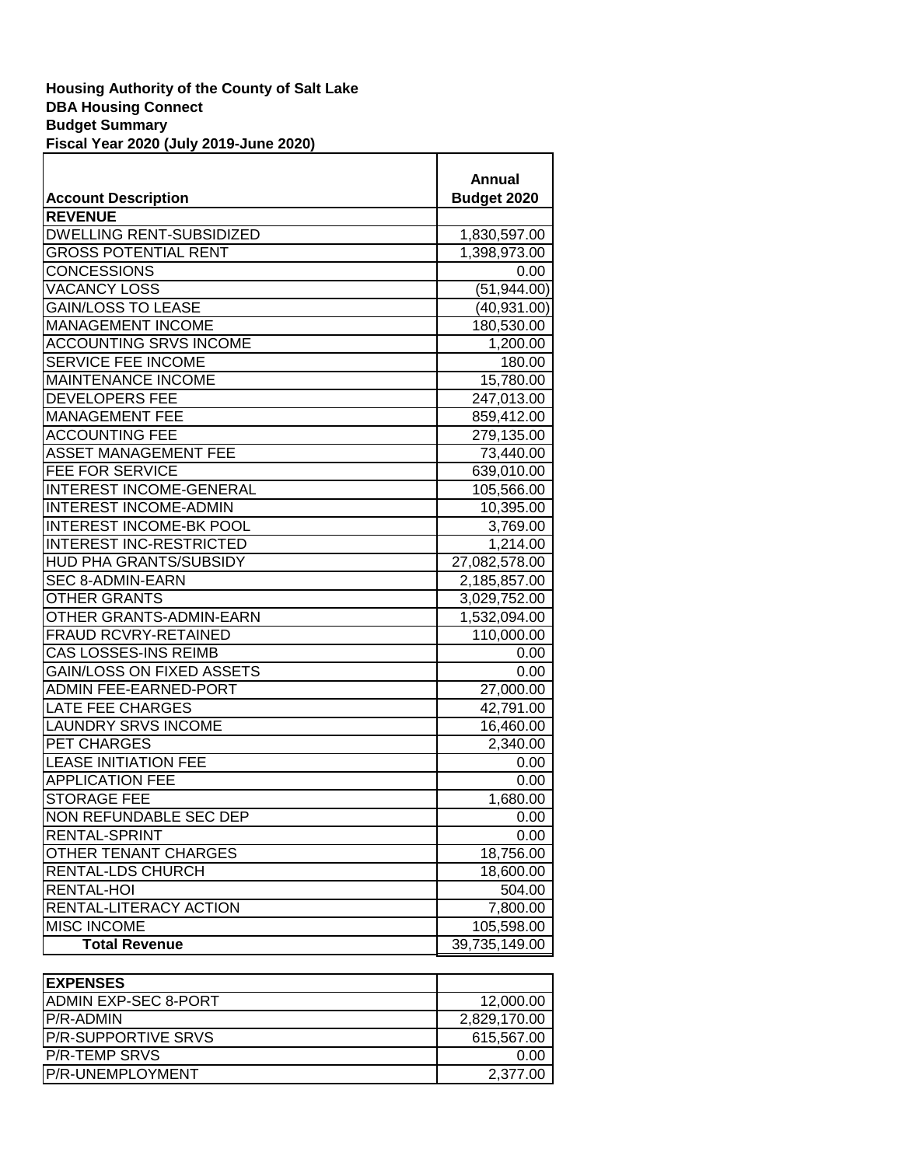| <b>Account Description</b>       | <b>Annual</b><br>Budget 2020 |
|----------------------------------|------------------------------|
| <b>REVENUE</b>                   |                              |
| <b>DWELLING RENT-SUBSIDIZED</b>  | 1,830,597.00                 |
| <b>GROSS POTENTIAL RENT</b>      | 1,398,973.00                 |
| <b>CONCESSIONS</b>               | 0.00                         |
| <b>VACANCY LOSS</b>              | (51, 944.00)                 |
| <b>GAIN/LOSS TO LEASE</b>        | (40, 931.00)                 |
| <b>MANAGEMENT INCOME</b>         | 180,530.00                   |
| <b>ACCOUNTING SRVS INCOME</b>    | 1,200.00                     |
| <b>SERVICE FEE INCOME</b>        | 180.00                       |
| <b>MAINTENANCE INCOME</b>        | 15,780.00                    |
| <b>DEVELOPERS FEE</b>            | 247,013.00                   |
| <b>MANAGEMENT FEE</b>            | 859,412.00                   |
| <b>ACCOUNTING FEE</b>            | 279,135.00                   |
| <b>ASSET MANAGEMENT FEE</b>      | 73,440.00                    |
| <b>FEE FOR SERVICE</b>           | 639,010.00                   |
| INTEREST INCOME-GENERAL          | 105,566.00                   |
| <b>INTEREST INCOME-ADMIN</b>     | 10,395.00                    |
| <b>INTEREST INCOME-BK POOL</b>   | 3,769.00                     |
| <b>INTEREST INC-RESTRICTED</b>   | 1,214.00                     |
| HUD PHA GRANTS/SUBSIDY           | 27,082,578.00                |
| SEC 8-ADMIN-EARN                 | 2,185,857.00                 |
| <b>OTHER GRANTS</b>              | 3,029,752.00                 |
| OTHER GRANTS-ADMIN-EARN          | 1,532,094.00                 |
| FRAUD RCVRY-RETAINED             | 110,000.00                   |
| CAS LOSSES-INS REIMB             | 0.00                         |
| <b>GAIN/LOSS ON FIXED ASSETS</b> | 0.00                         |
| <b>ADMIN FEE-EARNED-PORT</b>     | 27,000.00                    |
| <b>LATE FEE CHARGES</b>          | 42,791.00                    |
| <b>LAUNDRY SRVS INCOME</b>       | 16,460.00                    |
| PET CHARGES                      | 2,340.00                     |
| <b>LEASE INITIATION FEE</b>      | 0.00                         |
| <b>APPLICATION FEE</b>           | 0.00                         |
| <b>STORAGE FEE</b>               | 1,680.00                     |
| NON REFUNDABLE SEC DEP           | 0.00                         |
| RENTAL-SPRINT                    | 0.00                         |
| OTHER TENANT CHARGES             | 18,756.00                    |
| RENTAL-LDS CHURCH                | 18,600.00                    |
| RENTAL-HOI                       | 504.00                       |
| RENTAL-LITERACY ACTION           | 7,800.00                     |
| <b>MISC INCOME</b>               | 105,598.00                   |
| <b>Total Revenue</b>             | 39,735,149.00                |

| <b>IEXPENSES</b>             |              |
|------------------------------|--------------|
| <b>IADMIN EXP-SEC 8-PORT</b> | 12,000.00    |
| <b>IP/R-ADMIN</b>            | 2,829,170.00 |
| <b>IP/R-SUPPORTIVE SRVS</b>  | 615.567.00   |
| <b>P/R-TEMP SRVS</b>         | 0.00         |
| P/R-UNEMPLOYMENT             | 2.377.00     |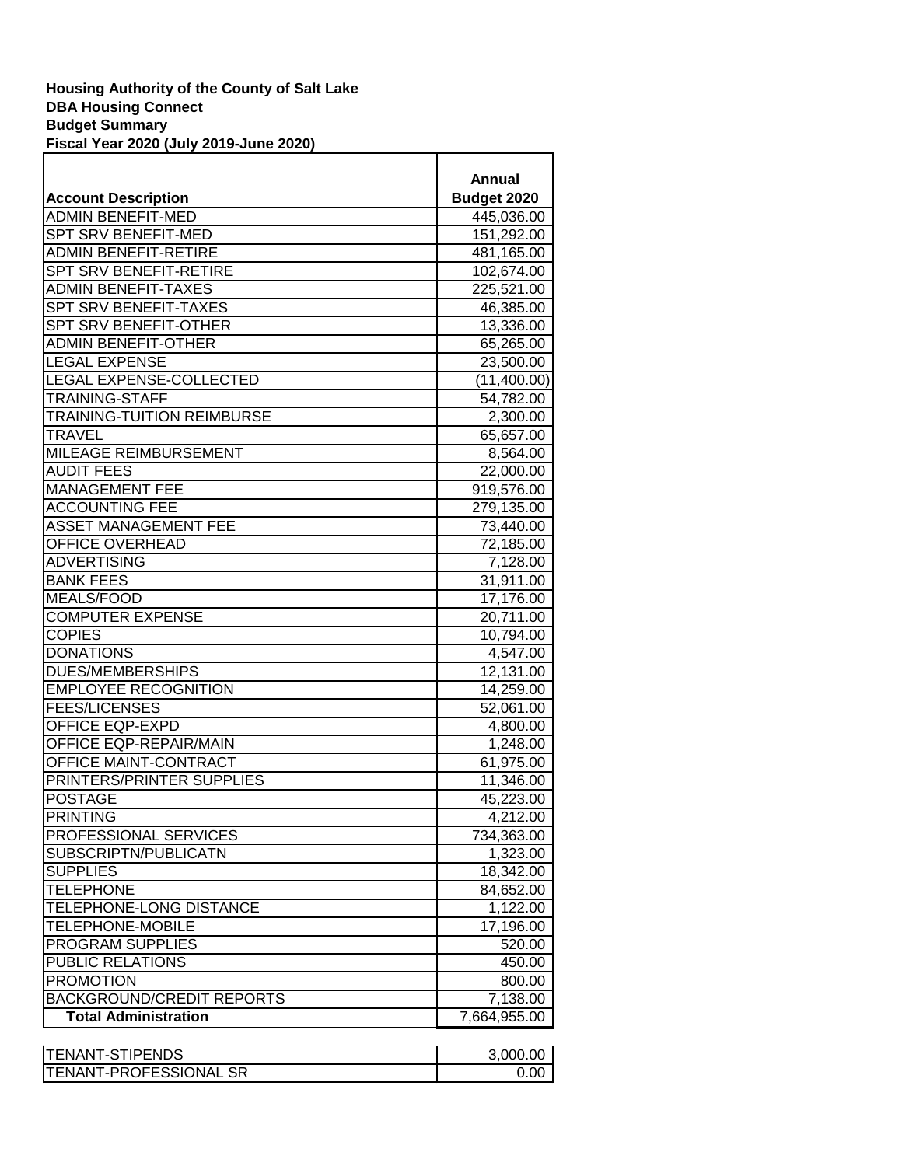| <b>Account Description</b>        | Annual<br>Budget 2020 |
|-----------------------------------|-----------------------|
| <b>ADMIN BENEFIT-MED</b>          | 445,036.00            |
| SPT SRV BENEFIT-MED               | 151,292.00            |
| <b>ADMIN BENEFIT-RETIRE</b>       | 481,165.00            |
| SPT SRV BENEFIT-RETIRE            | 102,674.00            |
| <b>ADMIN BENEFIT-TAXES</b>        | 225,521.00            |
| <b>SPT SRV BENEFIT-TAXES</b>      | 46,385.00             |
| SPT SRV BENEFIT-OTHER             | 13,336.00             |
| <b>ADMIN BENEFIT-OTHER</b>        | 65,265.00             |
| <b>LEGAL EXPENSE</b>              |                       |
| LEGAL EXPENSE-COLLECTED           | 23,500.00             |
|                                   | (11,400.00)           |
| <b>TRAINING-STAFF</b>             | 54,782.00             |
| <b>TRAINING-TUITION REIMBURSE</b> | 2,300.00              |
| <b>TRAVEL</b>                     | 65,657.00             |
| MILEAGE REIMBURSEMENT             | 8,564.00              |
| <b>AUDIT FEES</b>                 | 22,000.00             |
| <b>MANAGEMENT FEE</b>             | 919,576.00            |
| <b>ACCOUNTING FEE</b>             | 279,135.00            |
| <b>ASSET MANAGEMENT FEE</b>       | 73,440.00             |
| OFFICE OVERHEAD                   | 72,185.00             |
| <b>ADVERTISING</b>                | 7,128.00              |
| <b>BANK FEES</b>                  | 31,911.00             |
| <b>MEALS/FOOD</b>                 | 17,176.00             |
| <b>COMPUTER EXPENSE</b>           | 20,711.00             |
| <b>COPIES</b>                     | 10,794.00             |
| <b>DONATIONS</b>                  | 4,547.00              |
| <b>DUES/MEMBERSHIPS</b>           | 12,131.00             |
| <b>EMPLOYEE RECOGNITION</b>       | 14,259.00             |
| <b>FEES/LICENSES</b>              | 52,061.00             |
| <b>OFFICE EQP-EXPD</b>            | 4,800.00              |
| OFFICE EQP-REPAIR/MAIN            | 1,248.00              |
| OFFICE MAINT-CONTRACT             | 61,975.00             |
| PRINTERS/PRINTER SUPPLIES         | 11,346.00             |
| <b>POSTAGE</b>                    | 45,223.00             |
| <b>PRINTING</b>                   | 4,212.00              |
| PROFESSIONAL SERVICES             | 734,363.00            |
| SUBSCRIPTN/PUBLICATN              | 1,323.00              |
| <b>SUPPLIES</b>                   | 18,342.00             |
| <b>TELEPHONE</b>                  | 84,652.00             |
| TELEPHONE-LONG DISTANCE           | 1,122.00              |
| <b>TELEPHONE-MOBILE</b>           | 17,196.00             |
| PROGRAM SUPPLIES                  | 520.00                |
| <b>PUBLIC RELATIONS</b>           |                       |
|                                   | 450.00                |
| <b>PROMOTION</b>                  | 800.00                |
| <b>BACKGROUND/CREDIT REPORTS</b>  | 7,138.00              |
| <b>Total Administration</b>       | 7,664,955.00          |

Т

| <b>ITENANT-STIPENDS</b>        | 3.000.00 |
|--------------------------------|----------|
| <b>ITENANT-PROFESSIONAL SR</b> |          |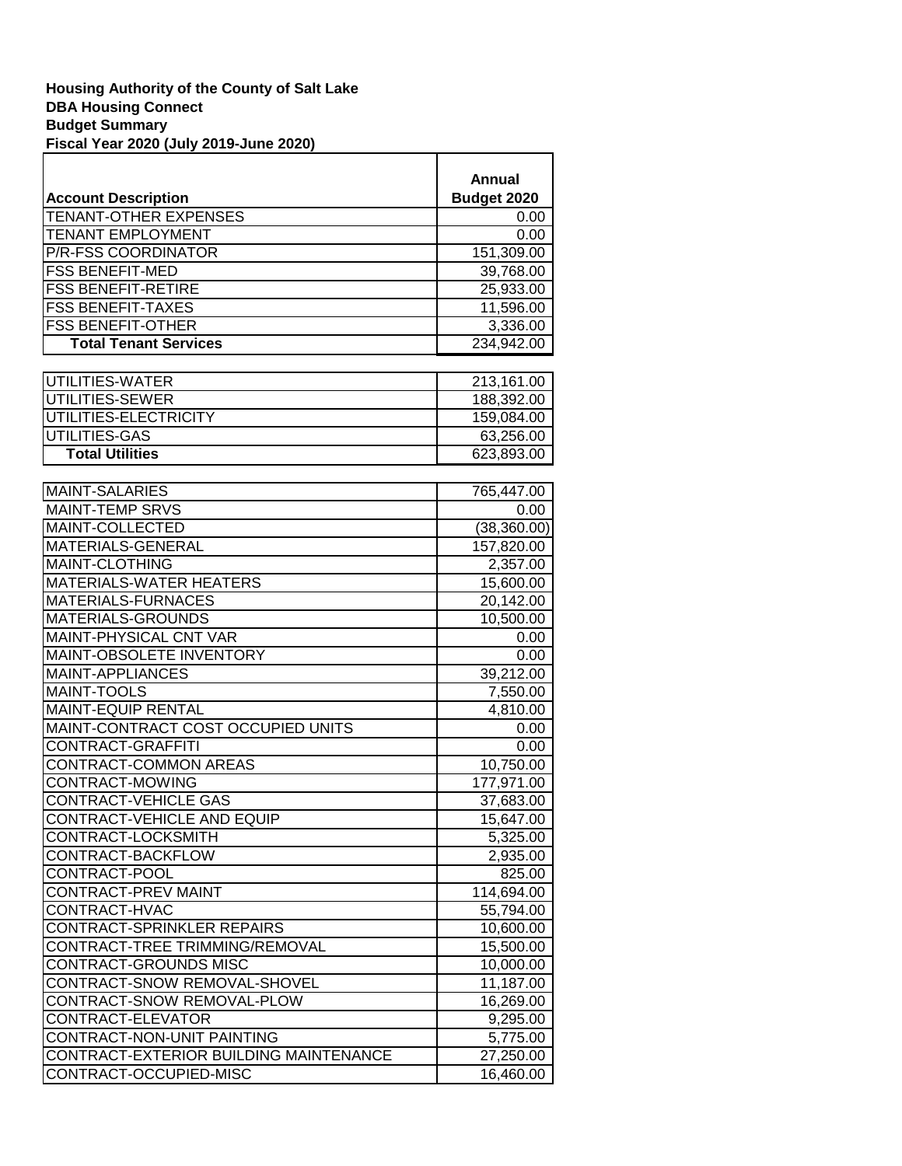| <b>Account Description</b>   | Annual<br>Budget 2020 |
|------------------------------|-----------------------|
| <b>TENANT-OTHER EXPENSES</b> | 0.00                  |
| <b>TENANT EMPLOYMENT</b>     | 0.00                  |
| P/R-FSS COORDINATOR          | 151,309.00            |
| <b>FSS BENEFIT-MED</b>       | 39,768.00             |
| <b>FSS BENEFIT-RETIRE</b>    | 25,933.00             |
| <b>FSS BENEFIT-TAXES</b>     | 11,596.00             |
| <b>FSS BENEFIT-OTHER</b>     | 3,336.00              |
| <b>Total Tenant Services</b> | 234,942.00            |
|                              |                       |
| UTILITIES-WATER              | 213,161.00            |
| UTILITIES-SEWER              | 188,392.00            |
| UTILITIES-ELECTRICITY        | 159,084.00            |
| UTILITIES-GAS                | 63,256.00             |
| <b>Total Utilities</b>       | 623,893.00            |
|                              |                       |
| <b>MAINT-SALARIES</b>        | 765.447.00            |

٦

| <b>MAINT-SALARIES</b>                  | 765,447.00   |
|----------------------------------------|--------------|
| <b>MAINT-TEMP SRVS</b>                 | 0.00         |
| MAINT-COLLECTED                        | (38, 360.00) |
| MATERIALS-GENERAL                      | 157,820.00   |
| <b>MAINT-CLOTHING</b>                  | 2,357.00     |
| MATERIALS-WATER HEATERS                | 15,600.00    |
| MATERIALS-FURNACES                     | 20,142.00    |
| <b>MATERIALS-GROUNDS</b>               | 10,500.00    |
| <b>MAINT-PHYSICAL CNT VAR</b>          | 0.00         |
| MAINT-OBSOLETE INVENTORY               | 0.00         |
| MAINT-APPLIANCES                       | 39,212.00    |
| <b>MAINT-TOOLS</b>                     | 7,550.00     |
| <b>MAINT-EQUIP RENTAL</b>              | 4,810.00     |
| MAINT-CONTRACT COST OCCUPIED UNITS     | 0.00         |
| <b>CONTRACT-GRAFFITI</b>               | 0.00         |
| <b>CONTRACT-COMMON AREAS</b>           | 10,750.00    |
| CONTRACT-MOWING                        | 177,971.00   |
| <b>CONTRACT-VEHICLE GAS</b>            | 37,683.00    |
| <b>CONTRACT-VEHICLE AND EQUIP</b>      | 15,647.00    |
| CONTRACT-LOCKSMITH                     | 5,325.00     |
| CONTRACT-BACKFLOW                      | 2,935.00     |
| CONTRACT-POOL                          | 825.00       |
| <b>CONTRACT-PREV MAINT</b>             | 114,694.00   |
| CONTRACT-HVAC                          | 55,794.00    |
| <b>CONTRACT-SPRINKLER REPAIRS</b>      | 10,600.00    |
| CONTRACT-TREE TRIMMING/REMOVAL         | 15,500.00    |
| CONTRACT-GROUNDS MISC                  | 10,000.00    |
| CONTRACT-SNOW REMOVAL-SHOVEL           | 11,187.00    |
| CONTRACT-SNOW REMOVAL-PLOW             | 16,269.00    |
| CONTRACT-ELEVATOR                      | 9,295.00     |
| CONTRACT-NON-UNIT PAINTING             | 5,775.00     |
| CONTRACT-EXTERIOR BUILDING MAINTENANCE | 27,250.00    |
| CONTRACT-OCCUPIED-MISC                 | 16,460.00    |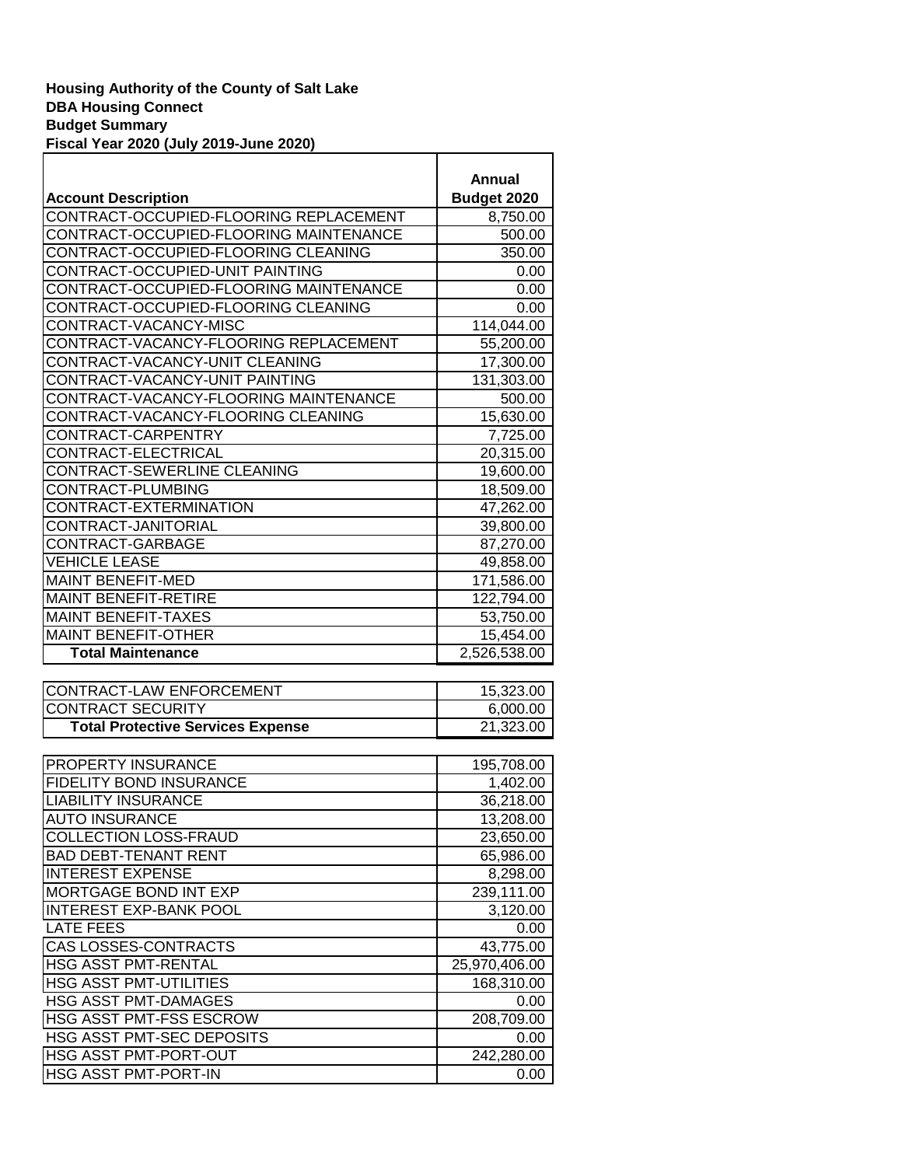|                                          | Annual       |
|------------------------------------------|--------------|
| <b>Account Description</b>               | Budget 2020  |
| CONTRACT-OCCUPIED-FLOORING REPLACEMENT   | 8,750.00     |
| CONTRACT-OCCUPIED-FLOORING MAINTENANCE   | 500.00       |
| CONTRACT-OCCUPIED-FLOORING CLEANING      | 350.00       |
| CONTRACT-OCCUPIED-UNIT PAINTING          | 0.00         |
| CONTRACT-OCCUPIED-FLOORING MAINTENANCE   | 0.00         |
| CONTRACT-OCCUPIED-FLOORING CLEANING      | 0.00         |
| CONTRACT-VACANCY-MISC                    | 114,044.00   |
| CONTRACT-VACANCY-FLOORING REPLACEMENT    | 55,200.00    |
| CONTRACT-VACANCY-UNIT CLEANING           | 17,300.00    |
| CONTRACT-VACANCY-UNIT PAINTING           | 131,303.00   |
| CONTRACT-VACANCY-FLOORING MAINTENANCE    | 500.00       |
| CONTRACT-VACANCY-FLOORING CLEANING       | 15,630.00    |
| CONTRACT-CARPENTRY                       | 7,725.00     |
| CONTRACT-ELECTRICAL                      | 20,315.00    |
| CONTRACT-SEWERLINE CLEANING              | 19,600.00    |
| CONTRACT-PLUMBING                        | 18,509.00    |
| CONTRACT-EXTERMINATION                   | 47,262.00    |
| CONTRACT-JANITORIAL                      | 39,800.00    |
| CONTRACT-GARBAGE                         | 87,270.00    |
| <b>VEHICLE LEASE</b>                     | 49,858.00    |
| <b>MAINT BENEFIT-MED</b>                 | 171,586.00   |
| <b>MAINT BENEFIT-RETIRE</b>              | 122,794.00   |
| <b>MAINT BENEFIT-TAXES</b>               | 53,750.00    |
| <b>MAINT BENEFIT-OTHER</b>               | 15,454.00    |
| <b>Total Maintenance</b>                 | 2,526,538.00 |
|                                          |              |
| CONTRACT-LAW ENFORCEMENT                 | 15,323.00    |
| <b>CONTRACT SECURITY</b>                 | 6,000.00     |
| <b>Total Protective Services Expense</b> | 21,323.00    |
|                                          |              |
| PROPERTY INSURANCE                       | 195,708.00   |
| <b>FIDELITY BOND INSURANCE</b>           | 1,402.00     |
| <b>LIABILITY INSURANCE</b>               | 36,218.00    |
| <b>AUTO INSURANCE</b>                    | 13,208.00    |
| COLLECTION LOSS-FRAUD                    | 23,650.00    |
| <b>BAD DEBT-TENANT RENT</b>              | 65,986.00    |
| <b>INTEREST EXPENSE</b>                  | 8,298.00     |
| MORTGAGE BOND INT EXP                    | 239,111.00   |
| <b>INTEREST EXP-BANK POOL</b>            | 3,120.00     |
| <b>LATE FEES</b>                         | 0.00         |
| <b>CAS LOSSES-CONTRACTS</b>              | 43,775.00    |

HSG ASST PMT-RENTAL 25,970,406.00 HSG ASST PMT-UTILITIES 168,310.00 HSG ASST PMT-DAMAGES 0.00 HSG ASST PMT-FSS ESCROW 208,709.00 HSG ASST PMT-SEC DEPOSITS 0.00 HSG ASST PMT-PORT-OUT 242,280.00 HSG ASST PMT-PORT-IN  $\vert$  0.00